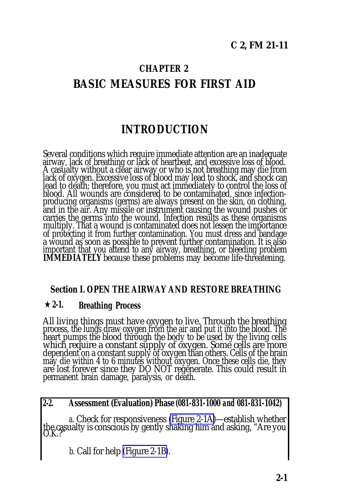# <span id="page-0-0"></span>**CHAPTER 2 BASIC MEASURES FOR FIRST AID**

# **INTRODUCTION**

Several conditions which require immediate attention are an inadequate airway, lack of breathing or lack of heartbeat, and excessive loss of blood. A casualty without a clear airway or who is not breathing may die from lack of oxygen. Excessive loss of blood may lead to shock, and shock can lead to death; therefore, you must act immediately to control the loss of blood. All wounds are considered to be contaminated, since infectionproducing organisms (germs) are always present on the skin, on clothing, and in the air. Any missile or instrument causing the wound pushes or carries the germs into the wound. Infection results as these organisms multiply. That a wound is contaminated does not lessen the importance of protecting it from further contamination. You must dress and bandage a wound as soon as possible to prevent further contamination. It is also important that you attend to any airway, breathing, or bleeding problem **IMMEDIATELY** because these problems may become life-threatening.

### **Section I. OPEN THE AIRWAY AND RESTORE BREATHING**

#### ★ **2-1. Breathing Process**

All living things must have oxygen to live. Through the breathing process, the lungs draw oxygen from the air and put it into the blood. The heart pumps the blood through the [body to be us](#page-1-0)ed by the living cells which require a constant supply of oxygen. Some cells are more dependent on a constant supply of oxygen than others. Cells of the brain may die within 4 to 6 minutes without oxygen. Once these cells die, they are lost forever since [they DO NOT](#page-1-0) regenerate. This could result in permanent brain damage, paralysis, or death.

### **2-2. Assessment (Evaluation) Phase** *(081-831-1000 and 081-831-1042)*

*a.* Check for responsiveness (Figure 2-1A)—establish whether the casualty is conscious by gently shaking him and asking, "Are you<br>O.K.?"

*b.* Call for help (Figure 2-1B).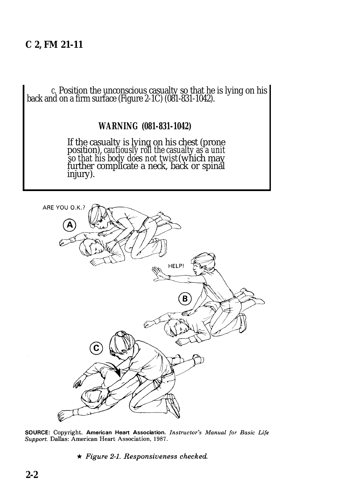<span id="page-1-0"></span>*c.* Position the unconscious casualty so that he is lying on his back and on a firm surface (Figure 2-1C) (081-831-1042).

#### **WARNING** *(081-831-1042)*

If the casualty is lying on his chest (prone position), *cautiously roll the casualty as a unit so that his body does not twist* (which may further complicate a neck, back or spinal injury).



SOURCE: Copyright. American Heart Association. Instructor's Manual for Basic Life Support. Dallas: American Heart Association, 1987.

 $\star$  Figure 2-1. Responsiveness checked.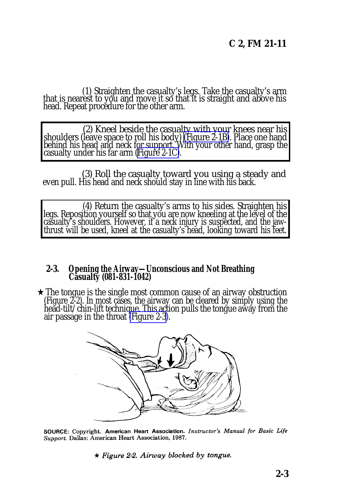<span id="page-2-0"></span>(1) Straighten the casualty's legs. Take the casualty's arm that is nearest to you and move it so that it is straight and above his head. Repeat procedure for the other arm.

(2) Kneel beside the casualty with your knees near his shoulders (leave space to roll his body) (Figure 2-1B). Place one hand behind his head and neck for support. With your other hand, grasp the casualty under his far arm (Figure 2-1C).

(3) Roll the casualty toward you using a steady and even pull. His head and neck should stay in line with his back.

(4) Return the casualty's arms to his sides. Straighten his legs. Reposition yourself so that you are now kneeling at the level of the casualty's shoulders. However, if a neck injury is suspected, and the jawthrust will be used, kneel [at the casu](#page-3-0)alty's head, looking toward his feet.

#### **2-3. Opening the Airway—Unconscious and Not Breathing Casualty** *(081-831-1042)*

★ The tongue is the single most common cause of an airway obstruction (Figure 2-2). In most cases, the airway can be cleared by simply using the head-tilt/chin-lift technique. This action pulls the tongue away from the air passage in the throat (Figure 2-3).



SOURCE: Copyright. American Heart Association. Instructor's Manual for Basic Life Support. Dallas: American Heart Association, 1987.

 $\star$  Figure 2-2. Airway blocked by tongue.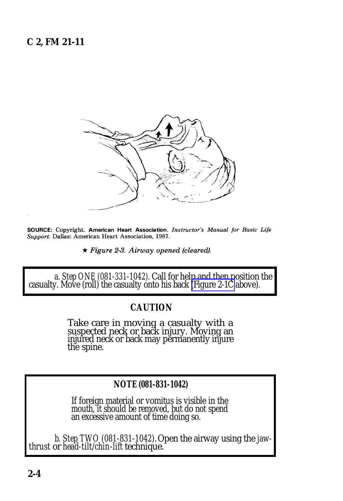<span id="page-3-0"></span>

SOURCE: Copyright. American Heart Association. Instructor's Manual for Basic Life Support. Dallas: American Heart Association, 1987.

 $\star$  Figure 2-3. Airway opened (cleared).

*a. Step ONE (081-331-1042).* Call for help and then position the casualty. Move (roll) the casualty onto his back [\(Figure 2-1C](#page-1-0) above).

#### **CAUTION**

Take care in moving a casualty with a suspected neck or back injury. Moving an injured neck or back may permanently injure the spine.

#### **NOTE** *(081-831-1042)*

If foreign material or vomitus is visible in the mouth, it should be removed, but do not spend an excessive amount of time doing so.

*b. Step TWO (081-831-1042).* Open the airway using the *jawthrust* or *head-tilt/chin-lift* technique.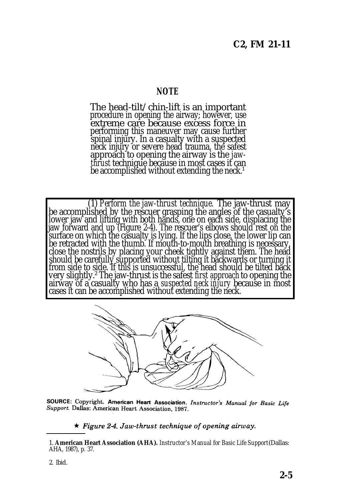### **NOTE**

The head-tilt/chin-lift is an important procedure in opening the airway; however, use extreme care because excess force in performing this maneuver may cause further spinal injury. In a casualty with a suspected neck injury or severe head trauma, the safest approach to opening the airway is the *jawthrust* technique because in most cases it can be accomplished without extending the neck.<sup>1</sup>

(1) *Perform the jaw-thrust technique.* The jaw-thrust may be accomplished by the rescuer grasping the angles of the casualty's lower jaw and lifting with both hands, one on each side, displacing the jaw forward and up (Figure 2-4). The rescuer's elbows should rest on the surface on which the casualty is lying. If the lips close, the lower lip can be retracted with the thumb. If mouth-to-mouth breathing is necessary, close the nostrils by placing your cheek tightly against them. The head should be carefully supported without tilting it backwards or turning it from side to side. If this is unsuccessful, the head should be tilted back very slightly.² The jaw-thrust is the safest *first approach* to opening the airway of a casualty who has a *suspected neck injury* because in most cases it can be accomplished without extending the neck.



SOURCE: Copyright. American Heart Association. Instructor's Manual for Basic Life Support. Dallas: American Heart Association, 1987.

 $\star$  Figure 2-4. Jaw-thrust technique of opening airway.

<sup>1.</sup> **American Heart Association (AHA).** *Instructor's Manual for Basic Life Support* (Dallas: AHA, 1987), p. 37.

<sup>2.</sup> Ibid.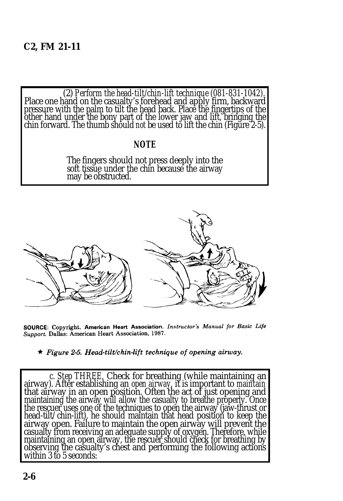(2) *Perform the head-tilt/chin-lift technique (081-831-1042).* Place one hand on the casualty's forehead and apply firm, backward pressure with the palm to tilt the head back. Place the fingertips of the other hand under the bony part of the lower jaw and lift, bringing the chin forward. The thumb should *not* be used to lift the chin (Figure 2-5).

#### **NOTE**

The fingers should not press deeply into the soft tissue under the chin because the airway may be obstructed.



SOURCE: Copyright. American Heart Association. Instructor's Manual for Basic Life Support. Dallas: American Heart Association, 1987.

 $\star$  Figure 2-5. Head-tilt/chin-lift technique of opening airway.

*c. Step THREE.* Check for breathing (while maintaining an airway). After establishing an *open airway,* it is important to *maintain* that airway in an open position. Often the act of just opening and maintaining the airway will allow the casualty to breathe properly. Once the rescuer uses one of the techniques to open the airway (jaw-thrust or head-tilt/chin-lift), he should maintain that head position to keep the airway open. Failure to maintain the open airway will prevent the casualty from receiving an adequate supply of oxygen. Therefore, while maintaining an open airway, the rescuer should check for breathing by observing the casualty's chest and performing the following actions within 3 to 5 seconds: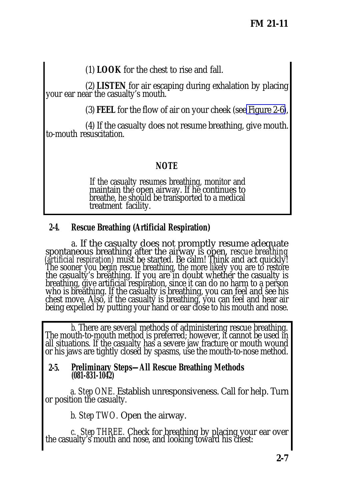(1) **LOOK** for the chest to rise and fall.

<span id="page-6-0"></span>(2) **LISTEN** for air escaping during exhalation by placing your ear near the casualty's mouth.

(3) **FEEL** for the flow of air on your cheek (see [Figure 2-6\)](#page-7-0),

(4) If the casualty does not resume breathing, give mouth. to-mouth resuscitation.

## **NOTE**

If the casualty resumes breathing, monitor and maintain the open airway. If he continues to breathe, he should be transported to a medical treatment facility.

## **2-4. Rescue Breathing (Artificial Respiration)**

*a.* If the casualty does not promptly resume adequate spontaneous breathing after the airway is open, *rescue breathing (artificial respiration)* must be started. Be calm! Think and act quickly! The sooner you begin rescue breathing, the more likely you are to restore the casualty's breathing. If you are in doubt whether the casualty is breathing, give artificial respiration, since it can do no harm to a person who is breathing. If the casualty is breathing, you can feel and see his chest move. Also, if the casualty is breathing, you can feel and hear air being expelled by putting your hand or ear close to his mouth and nose.

*b.* There are several methods of administering rescue breathing. The mouth-to-mouth method is preferred; however, it cannot be used in all situations. If the casualty has a severe jaw fracture or mouth wound or his jaws are tightly closed by spasms, use the mouth-to-nose method.

#### **2-5. Preliminary Steps—All Rescue Breathing Methods** *(081-831-1042)*

*a. Step ONE.* Establish unresponsiveness. Call for help. Turn or position the casualty.

*b. Step TWO.* Open the airway.

*c. Step THREE.* Check for breathing by placing your ear over the casualty's mouth and nose, and looking toward his chest: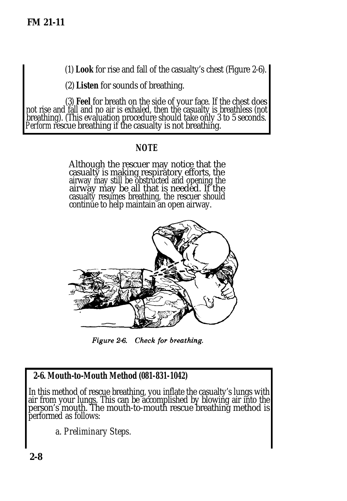<span id="page-7-0"></span>(1) **Look** for rise and fall of the casualty's chest (Figure 2-6).

(2) **Listen** for sounds of breathing.

(3) **Feel** for breath on the side of your face. If the chest does not rise and fall and no air is exhaled, then the casualty is breathless (not breathing). (This evaluation procedure should take only 3 to 5 seconds. *Perform* rescue breathing if the casualty is not breathing.

### **NOTE**

Although the rescuer may notice that the casualty is making respiratory efforts, the airway may still be obstructed and opening the airway may be all that is needed. If the casualty resumes breathing, the rescuer should continue to help maintain an open airway.



Figure 2-6. Check for breathing.

## **2-6. Mouth-to-Mouth Method** *(081-831-1042)*

In this method of rescue breathing, you inflate the casualty's lungs with air from your lungs. This can be accomplished by blowing air into the person's mouth. The mouth-to-mouth rescue breathing method is performed as follows:

*a. Preliminary Steps.*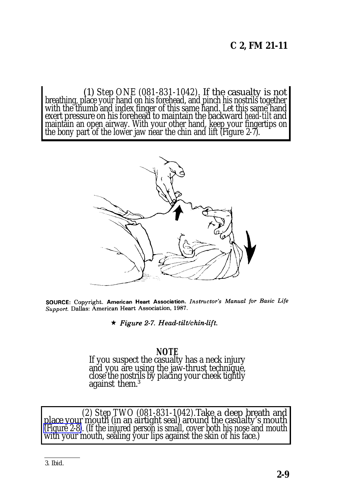<span id="page-8-0"></span>(1) *Step ONE (081-831-1042).* If the casualty is not breathing, place your hand on his forehead, and pinch his nostrils together with the thumb and index finger of this same hand. Let this same hand exert pressure on his forehead to maintain the backward *head-tilt* and maintain an open airway. With your other hand, keep your fingertips on the bony part of the lower jaw near the chin and lift (Figure 2-7).



SOURCE: Copyright. American Heart Association. Instructor's Manual for Basic Life Support. Dallas: American Heart Association, 1987.

 $\star$  Figure 2-7. Head-tilt/chin-lift.

#### **NOTE**

If you suspect the casualty has a neck injury and you are using the jaw-thrust technique, close the nostrils by placing your cheek tightly against them.<sup>3</sup>

*(2) Step TWO (081-831-1042).* Take a deep breath and place your mouth (in an airtight seal) around the casualty's mouth [\(Figure 2-8\)](#page-9-0). (If the injured person is small, cover both his nose and mouth with your mouth, sealing your lips against the skin of his face.)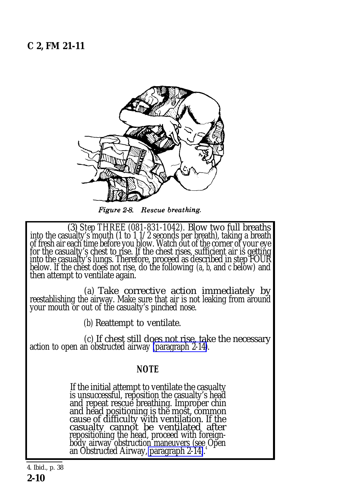<span id="page-9-0"></span>

Figure 2-8. Rescue breathing.

(3) *Step THREE (081-831-1042).* Blow two full breaths into the casualty's mouth  $(1 \text{ to } 1.1/2 \text{ seconds})$  per breath), taking a breath of fresh air each time before you blow. Watch out of the corner of your eye for the casualty's chest to rise. If the chest rises, sufficient air is getting into the casualty's lungs. Therefore, proceed as described in step FOUR below. If the chest does not rise, do the following *(a, b,* and *c* below) and then attempt to ventilate again.

*(a)* Take corrective action immediately by reestablishing the airway. Make sure that air is not leaking from around your mouth or out of the casualty's pinched nose.

*(b)* Reattempt to ventilate.

*(c)* If chest still does not rise, take the necessary action to open an obstructed airway [\(paragraph 2-14\)](#page-19-0).

#### **NOTE**

If the initial attempt to ventilate the casualty is unsuccessful, reposition the casualty's head and repeat rescue breathing. Improper chin and head positioning is the most, common cause of difficulty with ventilation. If the casualty cannot be ventilated after repositioning the head, proceed with foreignbody airway obstruction maneuvers (see Open an Obstructed Airway, [paragraph 2-14\)](#page-19-0).

4. Ibid., p. 38 **2-10**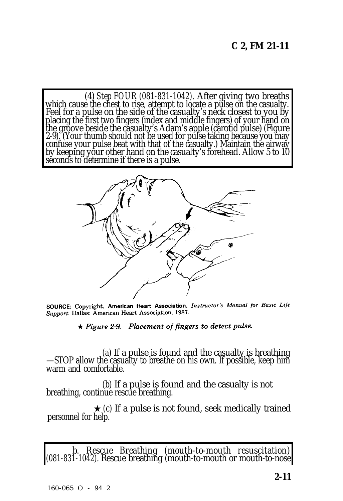(4) *Step FOUR (081-831-1042).* After giving two breaths which cause the chest to rise, attempt to locate a pulse on the casualty. Feel for a pulse on the side of the casualty's neck closest to you by placing the first two fingers (index and middle fingers) of your hand on the groove beside the casualty's Adam's apple (carotid pulse) (Figure 2-9). (Your thumb should not be used for pulse taking because you may confuse your pulse beat with that of the casualty.) Maintain the airway by keeping your other hand on the casualty's forehead. Allow 5 to 10 seconds to determine if there is a pulse.



SOURCE: Copyright. American Heart Association. Instructor's Manual for Basic Life Support. Dallas: American Heart Association, 1987.

 $\star$  Figure 2-9. Placement of fingers to detect pulse.

*(a)* If a pulse is found and the casualty is breathing —STOP allow the casualty to breathe on his own. If possible, keep him warm and comfortable.

*(b)* If a pulse is found and the casualty is not breathing, continue rescue breathing.

*(c)* If a pulse is not found, seek medically trained ★ personnel for help.

*b. Rescue Breathing (mouth-to-mouth resuscitation) (081-831-1042).* Rescue breathing (mouth-to-mouth or mouth-to-nose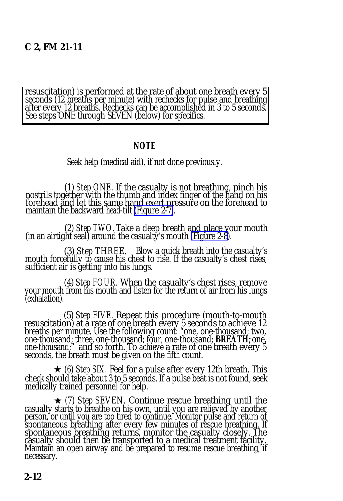resuscitation) is performed at the rate of about one breath every 5 seconds (12 breaths per minute) with rechecks for pulse and breathing after every 12 breaths. Rechecks can be accomplished in 3 to 5 seconds. See steps ONE through SEVEN (below) for specifics.

#### **NOTE**

Seek help (medical aid), if not done previously.

(1) *Step ONE.* If the casualty is not breathing, pinch his nostrils together with the thumb and index finger of the hand on his forehead and let this same hand exert pressure on the forehead to maintain the backward *head-tilt* [\(Figure 2-7\)](#page-8-0).

(2) *Step TWO.* Take a deep breath and place your mouth (in an airtight seal) around the casualty's mouth [\(Figure 2-8\)](#page-9-0).

(3) *Step THREE.* Blow a quick breath into the casualty's mouth forcefully to cause his chest to rise. If the casualty's chest rises, sufficient air is getting into his lungs.

(4) *Step FOUR.* When the casualty's chest rises, remove your mouth from his mouth and listen for the return of air from his lungs (exhalation).

(5) *Step FIVE.* Repeat this procedure (mouth-to-mouth resuscitation) at a rate of one breath every 5 seconds to achieve 12 breaths per minute. Use the following count: "one, one-thousand; two, one-thousand; three, one-thousand; four, one-thousand; **BREATH;** one, one-thousand;" and so forth. To *achieve* a rate of one breath every 5 seconds, the breath must be given on the *fifth* count.

★ (6) Step SIX. Feel for a pulse after every 12th breath. This check should take about 3 to 5 seconds. If a pulse beat is not found, seek medically trained personnel for help.

★ (7) Step SEVEN. Continue rescue breathing until the casualty starts to breathe on his own, until you are relieved by another person, or until you are too tired to continue. Monitor pulse and return of spontaneous breathing after every few minutes of rescue breathing. If spontaneous breathing returns, monitor the casualty closely. The casualty should then be transported to a medical treatment facility. Maintain an open airway and be prepared to resume rescue breathing, if necessary.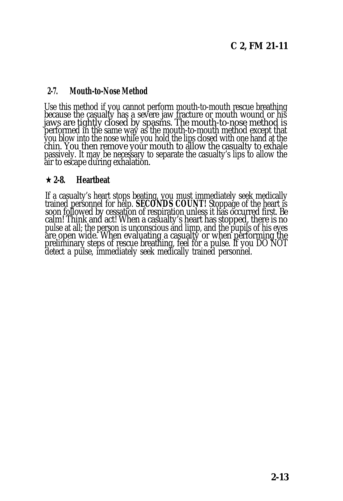### <span id="page-12-0"></span>**2-7. Mouth-to-Nose Method**

Use this method if you cannot perform mouth-to-mouth rescue breathing because the casualty has a severe jaw fracture or mouth wound or his jaws are tightly closed by spasms. The mouth-to-nose method is performed in the same way as the mouth-to-mouth method except that you blow into the nose while you hold the lips closed with one hand at the chin. You then remove your mouth to allow the casualty to exhale passively. It may be necessary to separate the casualty's lips to allow the air to escape during exhalation.

#### ★ **2-8. Heartbeat**

If a casualty's heart stops beating, you must immediately seek medically trained personnel for help. **SECONDS COUNT!** Stoppage of the heart is soon followed by cessation of respiration unless it has occurred first. Be calm! Think and act! When a casualty's heart has stopped, there is no pulse at all; the person is unconscious and limp, and the pupils of his eyes are open wide. When evaluating a casualty or when performing the preliminary steps of rescue breathing, feel for a pulse. If you DO NOT detect a pulse, immediately seek medically trained personnel.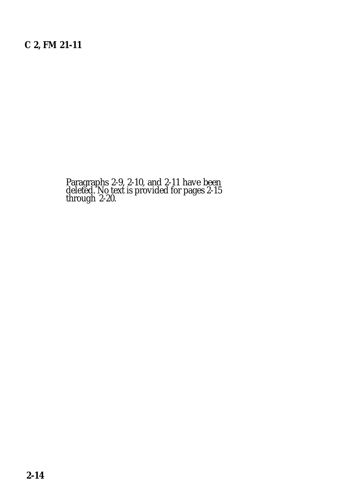Paragraphs 2-9, 2-10, and 2-11 have been deleted. No text is provided for pages 2-15 through 2-20.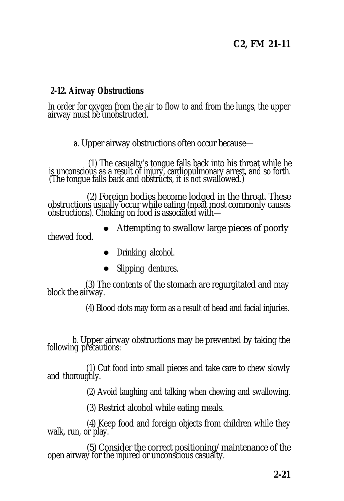## **2-12. Airway Obstructions**

In order for oxygen from the air to flow to and from the lungs, the upper airway must be unobstructed.

*a.* Upper airway obstructions often occur because—

(1) The casualty's tongue falls back into his throat while he is unconscious as a result of injury, cardiopulmonary arrest, and so forth. (The tongue falls back and obstructs, it *is not* swallowed.)

(2) Foreign bodies become lodged in the throat. These obstructions usually occur while eating (meat most commonly causes obstructions). Choking on food is associated with—

Attempting to swallow large pieces of poorly

chewed food.

- Drinking alcohol.
- Slipping dentures.

(3) The contents of the stomach are regurgitated and may block the airway.

(4) Blood clots may form as a result of head and facial injuries.

*b.* Upper airway obstructions may be prevented by taking the following precautions:

(1) Cut food into small pieces and take care to chew slowly and thoroughly.

(2) Avoid laughing and talking when chewing and swallowing.

(3) Restrict alcohol while eating meals.

(4) Keep food and foreign objects from children while they walk, run, or play.

(5) Consider the correct positioning/maintenance of the open airway for the injured or unconscious casualty.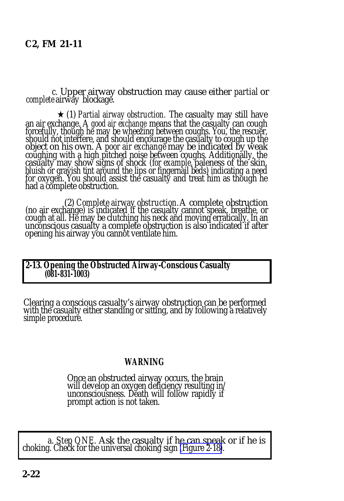*c.* Upper airway obstruction may cause either *partial* or *complete* airway blockage.

★ (1) *Partial airway obstruction.* The casualty may still have an air exchange. A *good air exchange* means that the casualty can cough forcefully, though he may be wheezing between coughs. You, the rescuer, should not interfere, and should encourage the casualty to cough up the object on his own. A *poor air exchange* may be indicated by weak coughing with a high pitched noise between coughs. Additionally, the casualty may show signs of shock *(for example,* paleness of the skin, bluish or grayish tint around the lips or fingernail beds) indicating a need for oxygen. You should assist the casualty and treat him as though he had a complete obstruction.

(2) *Complete airway obstruction.* A complete obstruction (no air exchange) is indicated if the casualty cannot speak, breathe, or cough at all. He may be clutching his neck and moving erratically. In an unconscious casualty a complete obstruction is also indicated if after opening his airway you cannot ventilate him.

#### **2-13. Opening the Obstructed Airway-Conscious Casualty** *(081-831-1003)*

Clearing a conscious casualty's airway obstruction can be performed with the casualty either standing or sitting, and by following a relatively simple procedure.

## **WARNING**

Once an obstructed airway occurs, the brain will develop an oxygen deficiency resulting in/ unconsciousness. Death will follow rapidly if prompt action is not taken.

*a. Step ONE.* Ask the casualty if he can speak or if he is choking. Check for the universal choking sign [\(Figure 2-18\)](#page-16-0).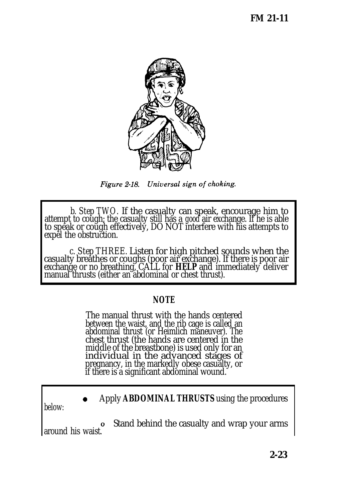<span id="page-16-0"></span>

Figure 2-18. Universal sign of choking.

*b. Step TWO.* If the casualty can speak, encourage him to attempt to cough; the casualty still has a *good* air exchange. If he is able to speak or cough effectively, DO NOT interfere with his attempts to expel the obstruction.

*c. Step THREE.* Listen for high pitched sounds when the casualty breathes or coughs (poor air exchange). If there is poor air exchange or no breathing, CALL for **HELP** and immediately deliver manual thrusts (either an abdominal or chest thrust).

## **NOTE**

The manual thrust with the hands centered between the waist, and the rib cage is called an abdominal thrust (or Heimlich maneuver). The chest thrust (the hands are centered in the middle of the breastbone) is used only for an individual in the advanced stages of pregnancy, in the markedly obese casualty, or if there is a significant abdominal wound.

below:

Apply **ABDOMINAL THRUSTS** using the procedures

Stand behind the casualty and wrap your arms  $\mathbf{o}$ around his waist.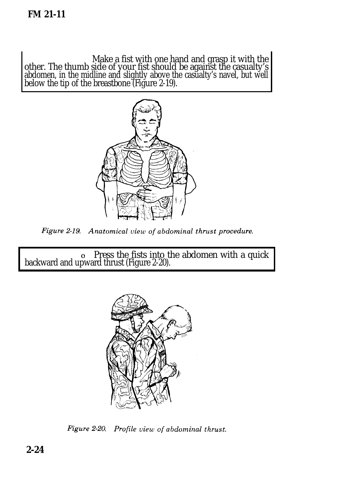Make a fist with one hand and grasp it with the other. The thumb side of your fist should be against the casualty's abdomen, in the midline and slightly above the casualty's navel, but well below the tip of the breastbone (Figure 2-19).



Figure 2-19. Anatomical view of abdominal thrust procedure.

Press the fists into the abdomen with a quick backward and upward thrust (Figure 2-20).



Figure 2-20. Profile view of abdominal thrust.

**2-24**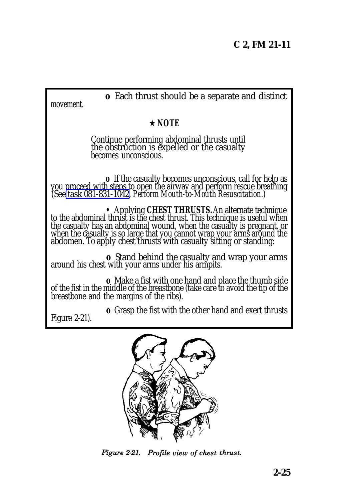| <b>o</b> Each thrust should be a separate and distinct<br>movement.                                                                                                                                                                  |
|--------------------------------------------------------------------------------------------------------------------------------------------------------------------------------------------------------------------------------------|
| $\star$ NOTE                                                                                                                                                                                                                         |
| Continue performing abdominal thrusts until<br>the obstruction is expelled or the casualty<br>becomes unconscious.                                                                                                                   |
| o If the casualty becomes unconscious, call for help as<br>you proceed with steps to open the airway and perform rescue breathing<br>(See task 081-831-1042, <i>Perform Mouth-to-Mouth Resuscitation.</i> )                          |
| • Applying <b>CHEST THRUSTS</b> . An alternate technique to the abdominal thrust is the chest thrust. This technique is useful when the casualty has an abdominal wound, when the casualty is pregnant, or when the casualty is so l |
| o Stand behind the casualty and wrap your arms around his chest with your arms under his armpits.                                                                                                                                    |
| o Make a fist with one hand and place the thumb side of the fist in the middle of the breastbone (take care to avoid the tip of the<br>breastbone and the margins of the ribs).                                                      |
| <b>o</b> Grasp the fist with the other hand and exert thrusts<br>$\Gamma$ icura 9.91)                                                                                                                                                |

Figure 2-21).



Figure 2-21. Profile view of chest thrust.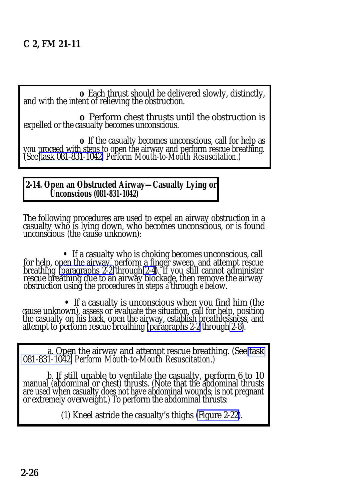<span id="page-19-0"></span>**o** Each thrust should be delivered slowly, distinctly, and with the intent of relieving the obstruction.

**o** Perform chest thrusts until the obstruction is expelled or the casualty becomes unconscious.

**o** If the casualty becomes unconscious, call for help as you proceed with steps to open the airway and perform rescue breathing. (See [task 081-831-1042,](#page-7-0) *Perform Mouth-to-Mouth Resuscitation.)*

**2-14. Open an Obstructed Airway—Casualty Lying or Unconscious** *(081-831-1042)*

The following procedures are used to expel an airway obstruction in a casualty who is lying down, who becomes unconscious, or is found unconscious (the cause unknown):

**•** If a casualty who is choking becomes unconscious, call for help, open the airway, perform a finger sweep, and attempt rescue breathing [\(paragraphs 2-2](#page-0-0) through [2-4\)](#page-6-0). If you still cannot administer rescue breathing due to an airway blockage, then remove the airway obstruction using the procedures in steps *a* through *e* below.

**•** If a casualty is unconscious when you find him (the cause unknown), assess or evaluate the situation, call for help, position the casualty on his back, open the airway, establish breathlessness, and attempt to perform rescue breathing [\(paragraphs 2-2](#page-0-0) through [2-8\)](#page-12-0).

*a.* Open the airway and attempt rescue breathing. (See [task](#page-7-0) [081-831-1042,](#page-7-0) *Perform Mouth-to-Mouth Resuscitation.)*

*b.* If still unable to ventilate the casualty, perform 6 to 10 manual (abdominal or chest) thrusts. (Note that the abdominal thrusts are used when casualty does not have abdominal wounds; is not pregnant or extremely overweight.) To perform the abdominal thrusts:

(1) Kneel astride the casualty's thighs [\(Figure 2-22\)](#page-20-0).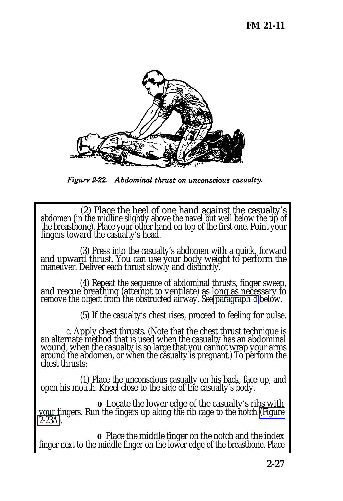<span id="page-20-0"></span>

Figure 2-22. Abdominal thrust on unconscious casualty.

(2) Place the heel of one hand against the casualty's abdomen (in the midline slightly above the navel but well below the tip of the breastbone). Place your other hand on top of the first one. Point your fingers toward the casualty's head.

(3) Press into the casualty's abdomen with a quick, forward and upward thrust. You can use your body weight to perform the maneuver. Deliver each thrust slowly and distinctly.

(4) Repeat the sequence of abdominal thrusts, finger sweep, and rescue breathing (attempt to ventilate) as long as necessary to remove the object from the obstructed airway. See [paragraph](#page-22-0) *d* below.

(5) If the casualty's chest rises, proceed to feeling for pulse.

*c.* Apply chest thrusts. (Note that the chest thrust technique is an alternate method that is used when the casualty has an abdominal wound, when the casualty is so large that you cannot wrap your arms around the abdomen, or when the casualty is pregnant.) To perform the chest thrusts:

(1) Place the unconscious casualty on his back, face up, and open his mouth. Kneel close to the side of the casualty's body.

**o** Locate the lower edge of the casualty's ribs with your fingers. Run the fingers up along the rib cage to the notch [\(Figure](#page-21-0) [2-23A\)](#page-21-0).

**o** Place the middle finger on the notch and the index finger next to the middle finger on the lower edge of the breastbone. Place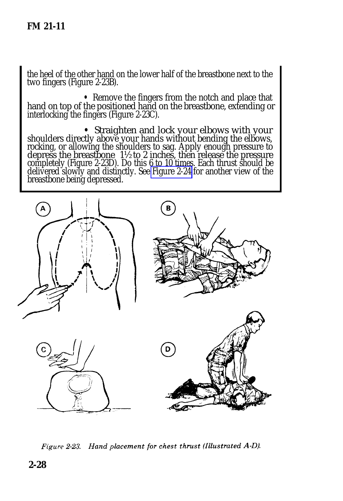<span id="page-21-0"></span>the heel of the other hand on the lower half of the breastbone next to the two fingers (Figure 2-23B).

• Remove the fingers from the notch and place that hand on top of the positioned hand on the breastbone, extending or interlocking the fingers (Figure 2-23C).

**•** Straighten and lock your elbows with your shoulders directly above your hands without bending the elbows, rocking, or allowing the shoulders to sag. Apply enough pressure to depress the breastbone 1½ to 2 inches, then release the pressure completely (Figure 2-23D). Do this 6 to 10 times. Each thrust should be delivered slowly and distinctly. See [Figure 2-24](#page-22-0) for another view of the breastbone being depressed.



Figure 2-23. Hand placement for chest thrust (Illustrated A-D).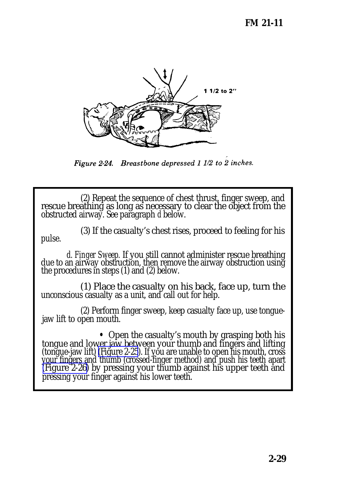<span id="page-22-0"></span>

Figure 2-24. Breastbone depressed 1 1/2 to 2 inches.

(2) Repeat the sequence of chest thrust, finger sweep, and rescue breathing as long as necessary to clear the object from the obstructed airway. See paragraph *d* below.

(3) If the casualty's chest rises, proceed to feeling for his pulse.

*d. Finger Sweep.* If you still cannot administer rescue breathing due to an airway obstruction, then remove the airway obstruction using the procedures in steps (1) and (2) below.

(1) Place the casualty on his back, face up, turn the unconscious casualty as a unit, and call out for help.

(2) Perform finger sweep, keep casualty face up, use tonguejaw lift to open mouth.

**•** Open the casualty's mouth by grasping both his tongue and lower jaw between your thumb and fingers and lifting (tongue-jaw lift) [\(Figure 2-25](#page-23-0)). If you are unable to open his mouth, cross your fingers and thumb (crossed-finger method) and push his teeth apart [\(Figure 2-26\)](#page-23-0) by pressing your thumb against his upper teeth and pressing your finger against his lower teeth.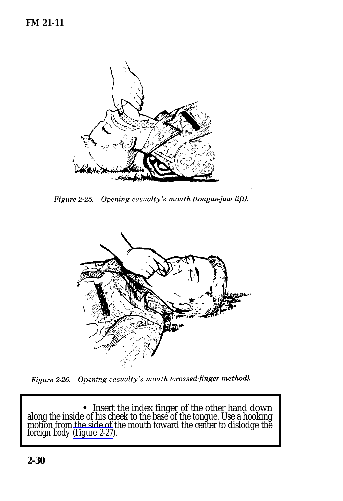<span id="page-23-0"></span>

Figure 2-25. Opening casualty's mouth (tongue-jaw lift).



Figure 2-26. Opening casualty's mouth (crossed-finger method).

• Insert the index finger of the other hand down along the inside of his cheek to the base of the tongue. Use a hooking motion from the side of the mouth toward the center to dislodge the foreign body [\(Figure 2-27\)](#page-24-0).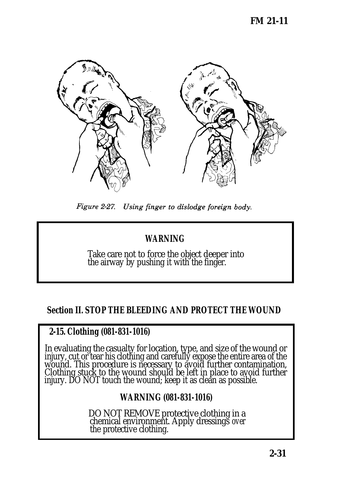<span id="page-24-0"></span>

Figure 2-27. Using finger to dislodge foreign body.

## **WARNING**

Take care not to force the object deeper into the airway by pushing it with the finger.

## **Section II. STOP THE BLEEDING AND PROTECT THE WOUND**

## **2-15. Clothing** *(081-831-1016)*

In evaluating the casualty for location, type, and size of the wound or injury, cut or tear his clothing and carefully expose the entire area of the wound. This procedure is necessary to avoid further contamination, Clothing stuck to the wound should be left in place to avoid further injury. DO NOT touch the wound; keep it as clean as possible.

## **WARNING** *(081-831-1016)*

DO NOT REMOVE protective clothing in a chemical environment. Apply dressings *over* the protective clothing.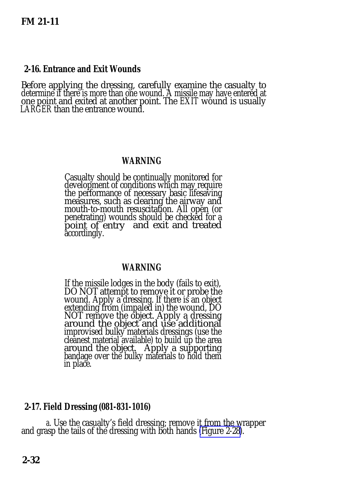#### **2-16. Entrance and Exit Wounds**

Before applying the dressing, carefully examine the casualty to determine if there is more than one wound. A missile may have entered at one point and exited at another point. The *EXIT* wound is usually *LARGER* than the entrance wound.

#### **WARNING**

Casualty should be continually monitored for development of conditions which may require the performance of necessary basic lifesaving measures, such as clearing the airway and mouth-to-mouth resuscitation. All open (or penetrating) wounds should be checked for a point of entry and exit and treated accordingly.

#### **WARNING**

If the missile lodges in the body (fails to exit), DO NOT attempt to remove it or probe the wound. Apply a dressing. If there is an object extending from (impaled in) the wound, DO NOT remove the object. Apply a dressing around the object and use additional improvised bulky materials dressings (use the cleanest material available) to build up the area around the object. Apply a supporting bandage over the bulky materials to hold them in place.

## **2-17. Field Dressing** *(081-831-1016)*

*a.* Use the casualty's field dressing; remove it from the wrapper and grasp the tails of the dressing with both hands [\(Figure 2-28\)](#page-26-0).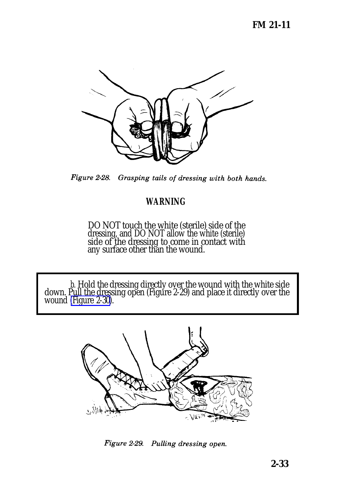## **FM 21-11**

<span id="page-26-0"></span>

Figure 2-28. Grasping tails of dressing with both hands.

## **WARNING**

DO NOT touch the white (sterile) side of the dressing, and DO NOT allow the white (sterile) side of the dressing to come in contact with any surface other than the wound.

*b.* Hold the dressing directly over the wound with the white side down. Pull the dressing open (Figure 2-29) and place it directly over the wound [\(Figure 2-30\)](#page-27-0).



Figure 2-29. Pulling dressing open.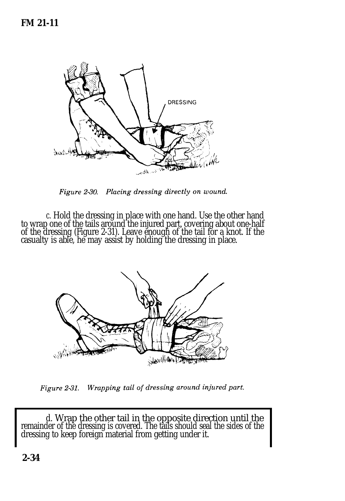<span id="page-27-0"></span>

Figure 2-30. Placing dressing directly on wound.

*c.* Hold the dressing in place with one hand. Use the other hand to wrap one of the tails around the injured part, covering about one-half of the dressing (Figure 2-31). Leave enough of the tail for a knot. If the casualty is able, he may assist by holding the dressing in place.



Wrapping tail of dressing around injured part.  $Figure 2-31.$ 

*d.* Wrap the other tail in the opposite direction until the remainder of the dressing is covered. The tails should seal the sides of the dressing to keep foreign material from getting under it.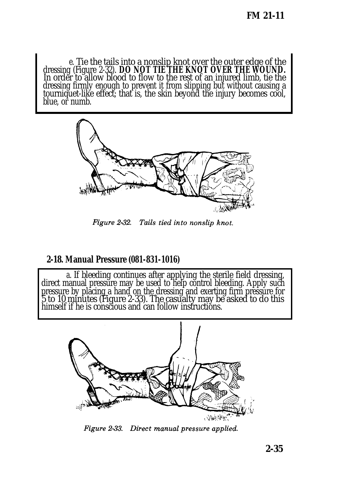<span id="page-28-0"></span>*e.* Tie the tails into a nonslip knot over the outer edge of the dressing (Figure 2-32). **DO NOT TIE THE KNOT OVER THE WOUND.** In order to allow blood to flow to the rest of an injured limb, tie the dressing firmly enough to prevent it from slipping but without causing a tourniquet-like effect; that is, the skin beyond the injury becomes cool, blue, or numb.



Figure 2-32. Tails tied into nonslip knot.

## **2-18. Manual Pressure** *(081-831-1016)*

*a.* If bleeding continues after applying the sterile field dressing, direct manual pressure may be used to help control bleeding. Apply such pressure by placing a hand on the dressing and exerting firm pressure for 5 to 10 minutes (Figure 2-33). The casualty may be asked to do this himself if he is conscious and can follow instructions.



Figure 2-33. Direct manual pressure applied.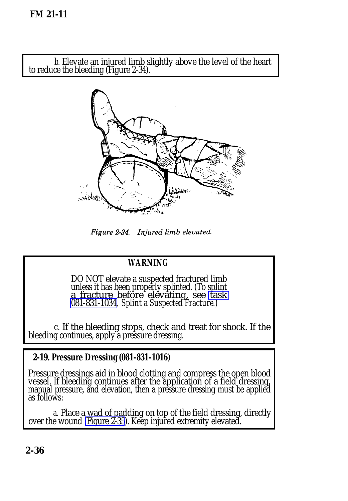*b.* Elevate an injured limb slightly above the level of the heart to reduce the bleeding (Figure 2-34).



Figure 2-34. Injured limb elevated.

## **WARNING**

DO NOT elevate a suspected fractured limb unless it has been properly splinted. (To splint a fracture before elevating, see [task](#page-2-0) [081-831-1034,](#page-2-0) *Splint a Suspected Fracture.)*

*c.* If the bleeding stops, check and treat for shock. If the bleeding continues, apply a pressure dressing.

## **2-19. Pressure Dressing** *(081-831-1016)*

Pressure dressings aid in blood clotting and compress the open blood vessel. If bleeding continues after the application of a field dressing, manual pressure, and elevation, then a pressure dressing must be applied as follows:

*a.* Place a wad of padding on top of the field dressing, directly over the wound [\(Figure 2-35](#page-30-0)). Keep injured extremity elevated.

**2-36**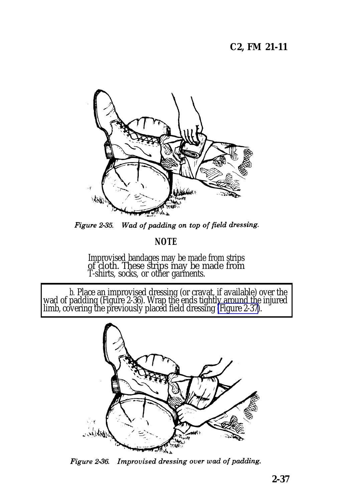<span id="page-30-0"></span>

Wad of padding on top of field dressing. Figure 2-35.

**NOTE**

Improvised bandages may be made from strips of cloth. These strips may be made from T-shirts, socks, or other garments.

*b.* Place an improvised dressing (or cravat, if available) over the wad of padding (Figure 2-36). Wrap the ends tightly around the injured limb, covering the previously placed field dressing [\(Figure 2-37\)](#page-31-0).



Figure 2-36. Improvised dressing over wad of padding.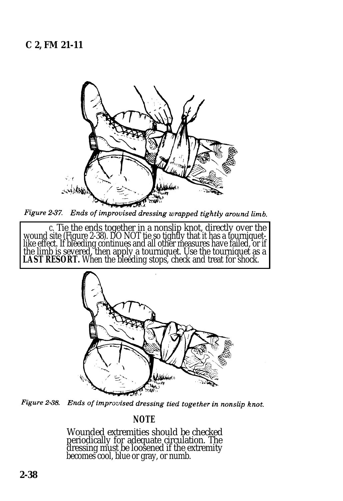<span id="page-31-0"></span>

Figure 2-37. Ends of improvised dressing wrapped tightly around limb.

*c.* Tie the ends together in a nonslip knot, directly over the wound site (Figure 2-38). DO NOT tie so tightly that it has a tourniquetlike effect. If bleeding continues and all other measures have failed, or if the limb is severed, then apply a tourniquet. Use the tourniquet as a **LAST RESORT.** When the bleeding stops, check and treat for shock.



Figure 2-38. Ends of improvised dressing tied together in nonslip knot.

#### **NOTE**

Wounded extremities should be checked periodically for adequate circulation. The dressing must be loosened if the extremity becomes cool, blue or gray, or numb.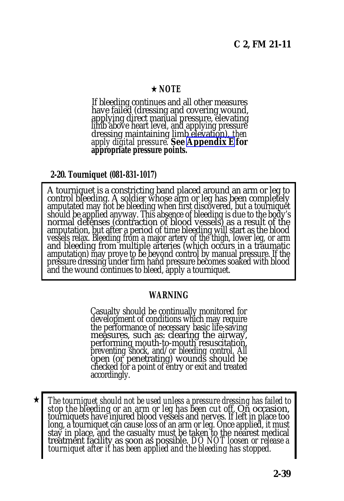#### ★ **NOTE**

If bleeding continues and all other measures have failed (dressing and covering wound, applying direct manual pressure, elevating limb above heart level, and applying pressure dressing maintaining limb elevation), *then apply digital pressure.* **See [Appendix E](#page-0-0) for appropriate pressure points.**

#### **2-20. Tourniquet** *(081-831-1017)*

A tourniquet is a constricting band placed around an arm or leg to control bleeding. A soldier whose arm or leg has been completely amputated may not be bleeding when first discovered, but a tourniquet should be applied anyway. This absence of bleeding is due to the body's normal defenses (contraction of blood vessels) as a result of the amputation, but after a period of time bleeding will start as the blood vessels relax. Bleeding from a major artery of the thigh, lower leg, or arm and bleeding from multiple arteries (which occurs in a traumatic amputation) may prove to be beyond control by manual pressure. If the pressure dressing under firm hand pressure becomes soaked with blood and the wound continues to bleed, apply a tourniquet.

#### **WARNING**

Casualty should be continually monitored for development of conditions which may require the performance of necessary basic life-saving measures, such as: clearing the airway, performing mouth-to-mouth resuscitation, preventing shock, and/or bleeding control. All open (or penetrating) wounds should be checked for a point of entry or exit and treated accordingly.

★ *The tourniquet should not be used unless a pressure dressing has failed to stop the bleeding or an arm or leg has been cut off.* On occasion, tourniquets have injured blood vessels and nerves. If left in place too long, a tourniquet can cause loss of an arm or leg. Once applied, it must stay in place, and the casualty must be taken to the nearest medical treatment facility as soon as possible. *DO NOT loosen or release a tourniquet after it has been applied and the bleeding has stopped.*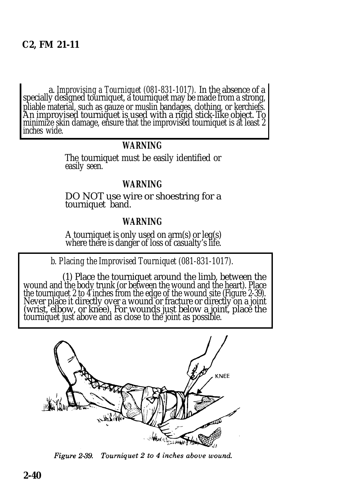a. *Improvising a Tourniquet (081-831-1017).* In the absence of a specially designed tourniquet, a tourniquet may be made from a strong, pliable material, such as gauze or muslin bandages, clothing, or kerchiefs. An improvised tourniquet is used with a rigid stick-like object. To minimize skin damage, ensure that the improvised tourniquet is at least 2 inches wide.

#### **WARNING**

The tourniquet must be easily identified or easily seen.

#### **WARNING**

DO NOT use wire or shoestring for a tourniquet band.

#### **WARNING**

A tourniquet is only used on arm(s) or leg(s) where there is danger of loss of casualty's life.

#### *b. Placing the Improvised Tourniquet (081-831-1017).*

(1) Place the tourniquet around the limb, between the wound and the body trunk (or between the wound and the heart). Place the tourniquet 2 to 4 inches from the edge of the wound site (Figure 2-39). Never place it directly over a wound or fracture or directly on a joint (wrist, elbow, or knee). For wounds just below a joint, place the tourniquet just above and as close to the joint as possible.



Figure 2-39. Tourniquet 2 to 4 inches above wound.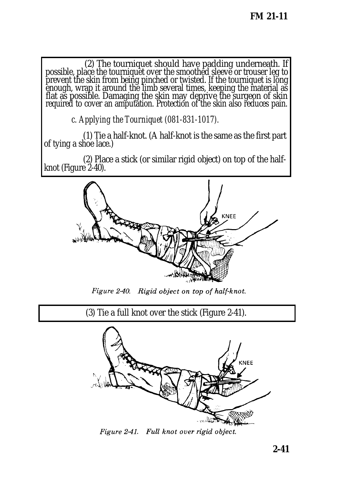(2) The tourniquet should have padding underneath. If possible, place the tourniquet over the smoothed sleeve or trouser leg to prevent the skin from being pinched or twisted. If the tourniquet is long enough, wrap it around the limb several times, keeping the material as flat as possible. Damaging the skin may deprive the surgeon of skin required to cover an amputation. Protection of the skin also reduces pain.

*c. Applying the Tourniquet (081-831-1017).*

(1) Tie a half-knot. (A half-knot is the same as the first part of tying a shoe lace.)

(2) Place a stick (or similar rigid object) on top of the halfknot (Figure  $2-40$ ).



Figure 2-40. Rigid object on top of half-knot.

(3) Tie a full knot over the stick (Figure 2-41).



Figure 2-41. Full knot over rigid object.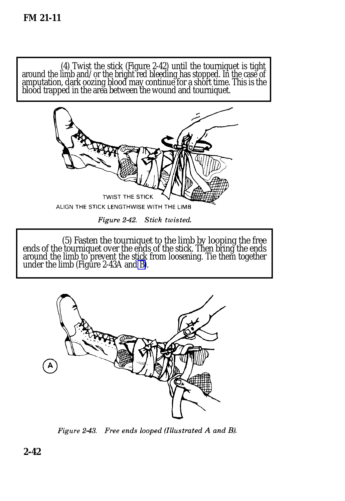(4) Twist the stick (Figure 2-42) until the tourniquet is tight around the limb and/or the bright red bleeding has stopped. In the case of amputation, dark oozing blood may continue for a short time. This is the blood trapped in the area between the wound and tourniquet.



Figure 2-42. Stick twisted.

(5) Fasten the tourniquet to the limb by looping the free ends of the tourniquet over the ends of the stick. Then bring the ends around the limb to prevent the stick from loosening. Tie them together under the limb (Figure 2-43A and [B\)](#page-36-0).



Figure 2-43. Free ends looped (Illustrated A and B).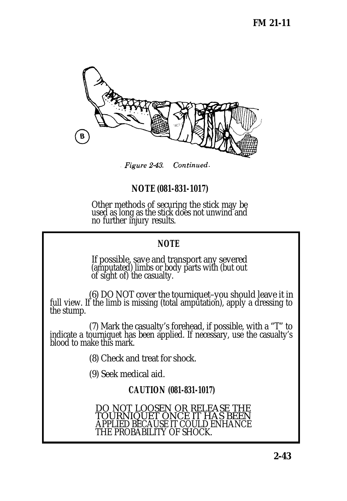<span id="page-36-0"></span>

Figure 2-43. Continued.

## **NOTE** *(081-831-1017)*

Other methods of securing the stick may be used as long as the stick does not unwind and no further injury results.

## **NOTE**

If possible, save and transport any severed (amputated) limbs or body parts with (but out of sight of) the casualty.

(6) DO NOT cover the tourniquet–you should leave it in full view. If the limb is missing (total amputation), apply a dressing to the stump.

(7) Mark the casualty's forehead, if possible, with a "T" to indicate a tourniquet has been applied. If necessary, use the casualty's blood to make this mark.

(8) Check and treat for shock.

(9) Seek medical aid.

**CAUTION** *(081-831-1017)*

DO NOT LOOSEN OR RELEASE THE TOURNIQUET ONCE IT HAS BEEN APPLIED BECAUSE IT COULD ENHANCE THE PROBABILITY OF SHOCK.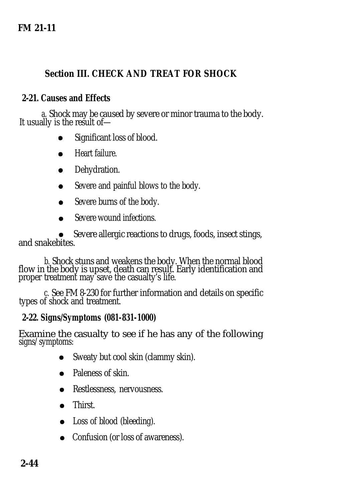## **Section III. CHECK AND TREAT FOR SHOCK**

## **2-21. Causes and Effects**

*a.* Shock may be caused by severe or minor trauma to the body. It usually is the result of—

- Significant loss of blood.  $\bullet$
- Heart failure.  $\blacksquare$
- Dehydration.  $\bullet$
- Severe and painful blows to the body.
- Severe burns of the body.
- Severe wound infections.

Severe allergic reactions to drugs, foods, insect stings, and snakebites.

*b.* Shock stuns and weakens the body. When the normal blood flow in the body is upset, death can result. Early identification and proper treatment may save the casualty's life.

*c.* See FM 8-230 for further information and details on specific types of shock and treatment.

## **2-22. Signs/Symptoms** *(081-831-1000)*

Examine the casualty to see if he has any of the following signs/symptoms:

- Sweaty but cool skin (clammy skin).
- Paleness of skin.
- Restlessness, nervousness.
- Thirst.
- Loss of blood (bleeding).
- Confusion (or loss of awareness).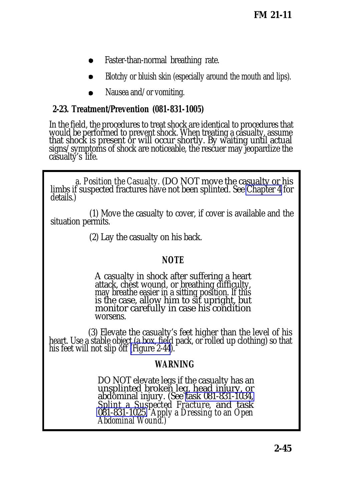- Faster-than-normal breathing rate.
- Blotchy or bluish skin (especially around the mouth and lips).
- Nausea and/or vomiting.

### **2-23. Treatment/Prevention** *(081-831-1005)*

In the field, the procedures to treat shock are identical to procedures that would be performed to prevent shock. When treating a casualty, assume that shock is present or will occur shortly. By waiting until actual signs/symptoms of shock are noticeable, the rescuer may jeopardize the casualty's life.

*a. Position the Casualty.* (DO NOT move the casualty or his limbs if suspected fractures have not been splinted. See [Chapter 4](#page-0-0) for details.)

(1) Move the casualty to cover, if cover is available and the situation permits.

(2) Lay the casualty on his back.

#### **NOTE**

A casualty in shock after suffering a heart attack, chest wound, or breathing difficulty, may breathe easier in a sitting position. If this is the case, allow him to sit upright, but monitor carefully in case his condition worsens.

(3) Elevate the casualty's feet higher than the level of his heart. Use a stable object (a box, field pack, or rolled up clothing) so that his feet will not slip off [\(Figure 2-44](#page-39-0)).

#### **WARNING**

DO NOT elevate legs if the casualty has an unsplinted broken leg, head injury, or abdominal injury. (See [task 081-831-1034,](#page-2-0) *Splint a Suspected Fracture,* and task [081-831-1025,](#page-28-0) *Apply a Dressing to an Open Abdominal Wound.)*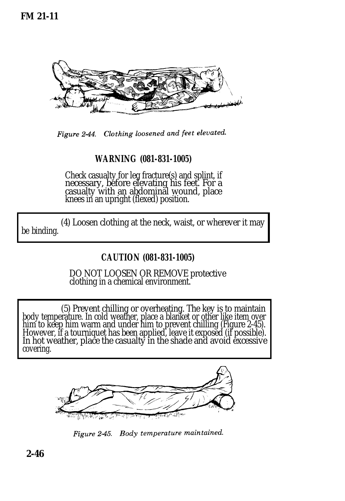<span id="page-39-0"></span>

Figure 2-44. Clothing loosened and feet elevated.

## **WARNING** *(081-831-1005)*

Check casualty for leg fracture(s) and splint, if necessary, before elevating his feet. For a casualty with an abdominal wound, place knees in an upright (flexed) position.

(4) Loosen clothing at the neck, waist, or wherever it may be binding.

## **CAUTION** *(081-831-1005)*

DO NOT LOOSEN OR REMOVE protective clothing in a chemical environment.

(5) Prevent chilling or overheating. The key is to maintain body temperature. In cold weather, place a blanket or other like item over him to keep him warm and under him to prevent chilling (Figure 2-45). However, if a tourniquet has been applied, leave it exposed (if possible). In hot weather, place the casualty in the shade and avoid excessive covering.



Figure 2-45. Body temperature maintained.

**2-46**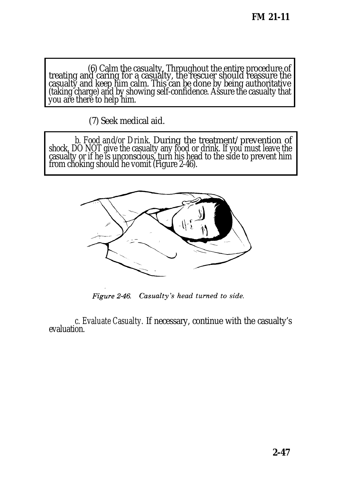(6) Calm the casualty. Throughout the entire procedure of treating and caring for a casualty, the rescuer should reassure the casualty and keep him calm. This can be done by being authoritative (taking charge) and by showing self-confidence. Assure the casualty that you are there to help him.

(7) Seek medical aid.

*b. Food and/or Drink.* During the treatment/prevention of shock, DO NOT give the casualty any food or drink. If you must leave the casualty or if he is unconscious, turn his head to the side to prevent him from choking should he vomit (Figure 2-46).



Figure 2-46. Casualty's head turned to side.

*c. Evaluate Casualty.* If necessary, continue with the casualty's evaluation.